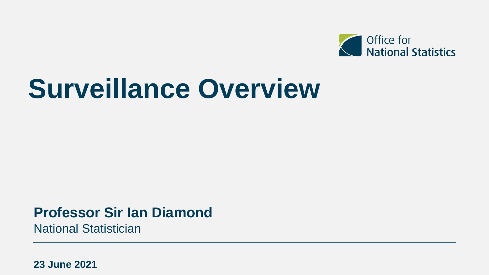

# **Surveillance Overview**

## **Professor Sir Ian Diamond**

National Statistician

**23 June 2021**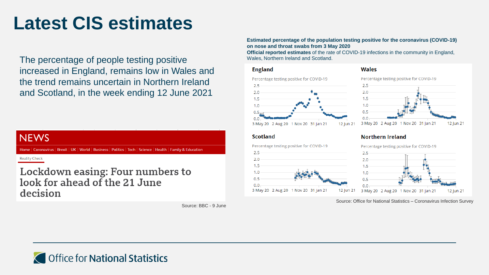# **Latest CIS estimates**

The percentage of people testing positive increased in England, remains low in Wales and the trend remains uncertain in Northern Ireland and Scotland, in the week ending 12 June 2021

### **NEWS**

Home | Coronavirus | Brexit | UK | World | Business | Politics | Tech | Science | Health | Family & Education

**Reality Check** 

Lockdown easing: Four numbers to look for ahead of the 21 June decision

Source: BBC - 9 June

### **Estimated percentage of the population testing positive for the coronavirus (COVID-19) on nose and throat swabs from 3 May 2020**

**Official reported estimates** of the rate of COVID-19 infections in the community in England, Wales, Northern Ireland and Scotland.

### **England**





### **Scotland**



### **Northern Ireland**



Source: Office for National Statistics – Coronavirus Infection Survey

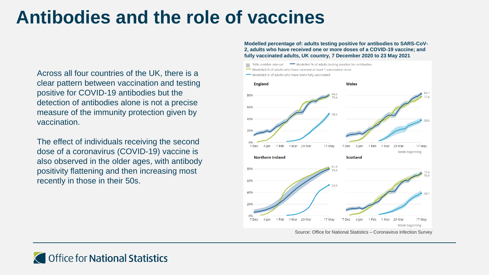# **Antibodies and the role of vaccines**

Across all four countries of the UK, there is a clear pattern between vaccination and testing positive for COVID-19 antibodies but the detection of antibodies alone is not a precise measure of the immunity protection given by vaccination.

The effect of individuals receiving the second dose of a coronavirus (COVID-19) vaccine is also observed in the older ages, with antibody positivity flattening and then increasing most recently in those in their 50s.

**Modelled percentage of: adults testing positive for antibodies to SARS-CoV-2, adults who have received one or more doses of a COVID-19 vaccine; and fully vaccinated adults, UK country, 7 December 2020 to 23 May 2021**



Source: Office for National Statistics – Coronavirus Infection Survey

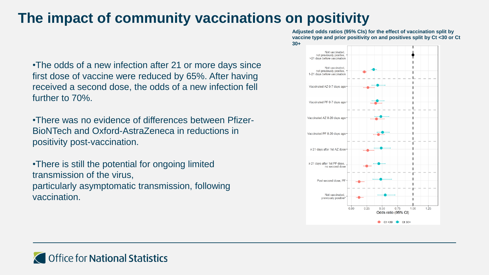## **The impact of community vaccinations on positivity**

•The odds of a new infection after 21 or more days since first dose of vaccine were reduced by 65%. After having received a second dose, the odds of a new infection fell further to 70%.

•There was no evidence of differences between Pfizer-BioNTech and Oxford-AstraZeneca in reductions in positivity post-vaccination.

•There is still the potential for ongoing limited transmission of the virus, particularly asymptomatic transmission, following vaccination.

**Adjusted odds ratios (95% CIs) for the effect of vaccination split by vaccine type and prior positivity on and positives split by Ct <30 or Ct 30+**

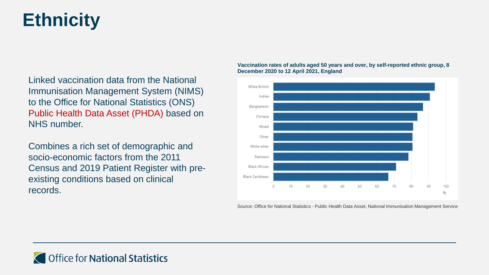# **Ethnicity**

Linked vaccination data from the National Immunisation Management System (NIMS) to the Office for National Statistics (ONS) Public Health Data Asset (PHDA) based on NHS number.

Combines a rich set of demographic and socio-economic factors from the 2011 Census and 2019 Patient Register with preexisting conditions based on clinical records.

### **Vaccination rates of adults aged 50 years and over, by self-reported ethnic group, 8 December 2020 to 12 April 2021, England**



Source: Office for National Statistics - Public Health Data Asset, National Immunisation Management Service

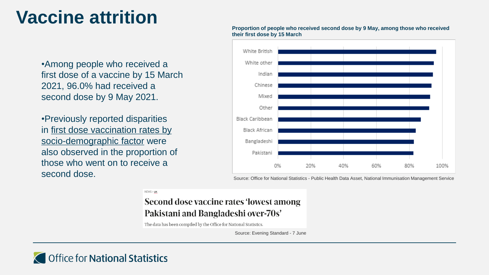# **Vaccine attrition**

•Among people who received a first dose of a vaccine by 15 March 2021, 96.0% had received a second dose by 9 May 2021.

•Previously reported disparities in [first dose vaccination rates by](https://www.ons.gov.uk/peoplepopulationandcommunity/healthandsocialcare/healthinequalities/bulletins/coronavirusandvaccinationratesinpeopleaged70yearsandoverbysociodemographiccharacteristicengland/8december2020to12april2021)  socio-demographic factor were also observed in the proportion of those who went on to receive a second dose.



### **Proportion of people who received second dose by 9 May, among those who received their first dose by 15 March**

Source: Office for National Statistics - Public Health Data Asset, National Immunisation Management Service

NEWS > UK

### Second dose vaccine rates 'lowest among Pakistani and Bangladeshi over-70s'

The data has been compiled by the Office for National Statistics.

Source: Evening Standard - 7 June

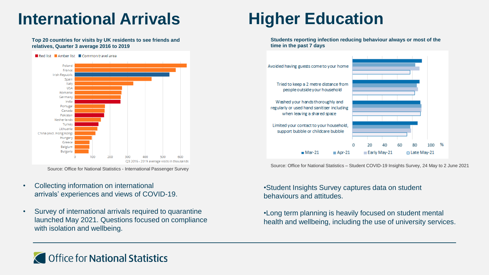## **International Arrivals**

#### **Top 20 countries for visits by UK residents to see friends and relatives, Quarter 3 average 2016 to 2019**



Source: Office for National Statistics - International Passenger Survey

- Collecting information on international arrivals' experiences and views of COVID-19.
- Survey of international arrivals required to quarantine launched May 2021. Questions focused on compliance with isolation and wellbeing.

# **Higher Education**

**Students reporting infection reducing behaviour always or most of the time in the past 7 days**



Source: Office for National Statistics – Student COVID-19 Insights Survey, 24 May to 2 June 2021

•Student Insights Survey captures data on student behaviours and attitudes.

•Long term planning is heavily focused on student mental health and wellbeing, including the use of university services.